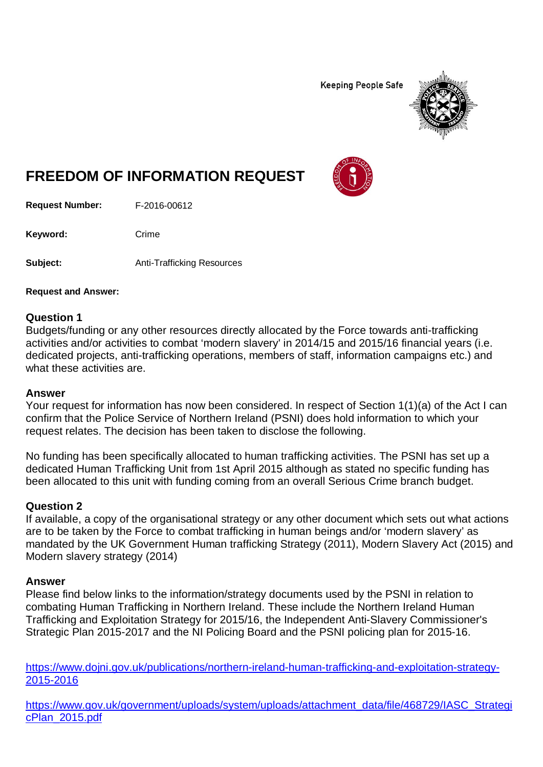**Keeping People Safe** 



# **FREEDOM OF INFORMATION REQUEST**

**Request Number:** F-2016-00612

Keyword: Crime

**Subject:** Anti-Trafficking Resources

**Request and Answer:**

## **Question 1**

Budgets/funding or any other resources directly allocated by the Force towards anti-trafficking activities and/or activities to combat 'modern slavery' in 2014/15 and 2015/16 financial years (i.e. dedicated projects, anti-trafficking operations, members of staff, information campaigns etc.) and what these activities are.

#### **Answer**

Your request for information has now been considered. In respect of Section 1(1)(a) of the Act I can confirm that the Police Service of Northern Ireland (PSNI) does hold information to which your request relates. The decision has been taken to disclose the following.

No funding has been specifically allocated to human trafficking activities. The PSNI has set up a dedicated Human Trafficking Unit from 1st April 2015 although as stated no specific funding has been allocated to this unit with funding coming from an overall Serious Crime branch budget.

## **Question 2**

If available, a copy of the organisational strategy or any other document which sets out what actions are to be taken by the Force to combat trafficking in human beings and/or 'modern slavery' as mandated by the UK Government Human trafficking Strategy (2011), Modern Slavery Act (2015) and Modern slavery strategy (2014)

## **Answer**

Please find below links to the information/strategy documents used by the PSNI in relation to combating Human Trafficking in Northern Ireland. These include the Northern Ireland Human Trafficking and Exploitation Strategy for 2015/16, the Independent Anti-Slavery Commissioner's Strategic Plan 2015-2017 and the NI Policing Board and the PSNI policing plan for 2015-16.

[https://www.dojni.gov.uk/publications/northern-ireland-human-trafficking-and-exploitation-strategy-](https://www.dojni.gov.uk/publications/northern-ireland-human-trafficking-and-exploitation-strategy-2015-2016)[2015-2016](https://www.dojni.gov.uk/publications/northern-ireland-human-trafficking-and-exploitation-strategy-2015-2016)

[https://www.gov.uk/government/uploads/system/uploads/attachment\\_data/file/468729/IASC\\_Strategi](https://www.gov.uk/government/uploads/system/uploads/attachment_data/file/468729/IASC_StrategicPlan_2015.pdf) [cPlan\\_2015.pdf](https://www.gov.uk/government/uploads/system/uploads/attachment_data/file/468729/IASC_StrategicPlan_2015.pdf)